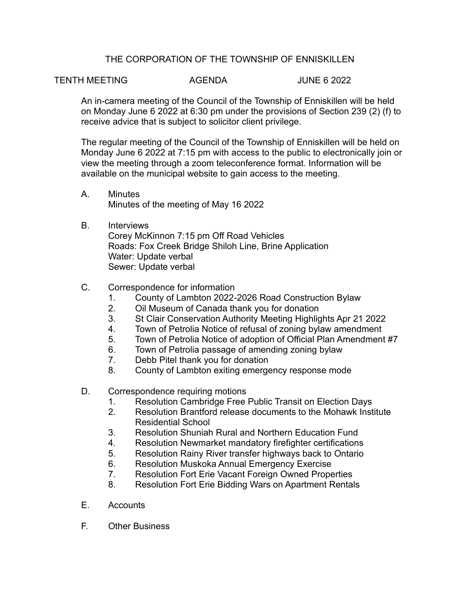## THE CORPORATION OF THE TOWNSHIP OF ENNISKILLEN

## TENTH MEETING AGENDA JUNE 6 2022

An in-camera meeting of the Council of the Township of Enniskillen will be held on Monday June 6 2022 at 6:30 pm under the provisions of Section 239 (2) (f) to receive advice that is subject to solicitor client privilege.

The regular meeting of the Council of the Township of Enniskillen will be held on Monday June 6 2022 at 7:15 pm with access to the public to electronically join or view the meeting through a zoom teleconference format. Information will be available on the municipal website to gain access to the meeting.

- A. Minutes Minutes of the meeting of May 16 2022
- B. Interviews Corey McKinnon 7:15 pm Off Road Vehicles Roads: Fox Creek Bridge Shiloh Line, Brine Application Water: Update verbal Sewer: Update verbal

## C. Correspondence for information

- 1. County of Lambton 2022-2026 Road Construction Bylaw
- 2. Oil Museum of Canada thank you for donation
- 3. St Clair Conservation Authority Meeting Highlights Apr 21 2022
- 4. Town of Petrolia Notice of refusal of zoning bylaw amendment
- 5. Town of Petrolia Notice of adoption of Official Plan Amendment #7
- 6. Town of Petrolia passage of amending zoning bylaw
- 7. Debb Pitel thank you for donation
- 8. County of Lambton exiting emergency response mode
- D. Correspondence requiring motions
	- 1. Resolution Cambridge Free Public Transit on Election Days
	- 2. Resolution Brantford release documents to the Mohawk Institute Residential School
	- 3. Resolution Shuniah Rural and Northern Education Fund
	- 4. Resolution Newmarket mandatory firefighter certifications
	- 5. Resolution Rainy River transfer highways back to Ontario
	- 6. Resolution Muskoka Annual Emergency Exercise
	- 7. Resolution Fort Erie Vacant Foreign Owned Properties
	- 8. Resolution Fort Erie Bidding Wars on Apartment Rentals
- E. Accounts
- F. Other Business